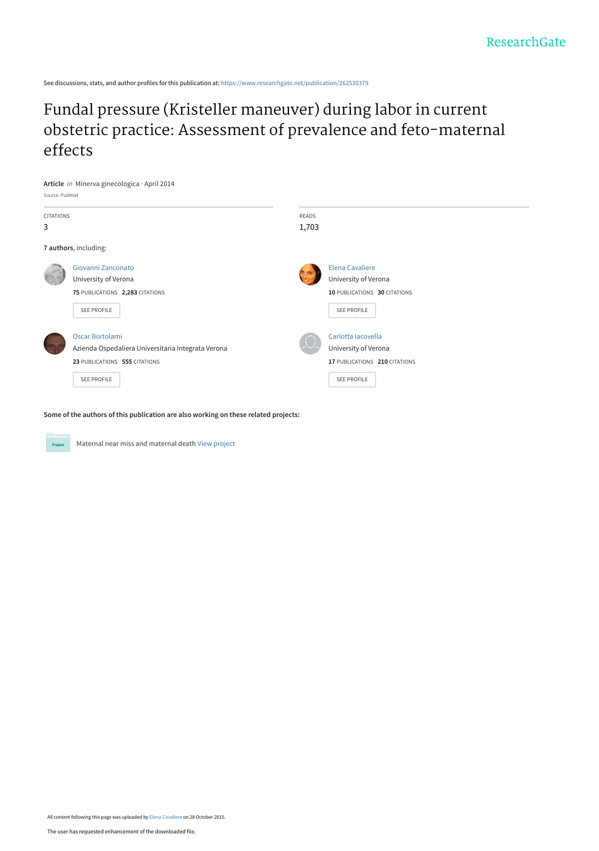See discussions, stats, and author profiles for this publication at: [https://www.researchgate.net/publication/262530379](https://www.researchgate.net/publication/262530379_Fundal_pressure_Kristeller_maneuver_during_labor_in_current_obstetric_practice_Assessment_of_prevalence_and_feto-maternal_effects?enrichId=rgreq-b1b1ba3a5928682f48be8697e34a4796-XXX&enrichSource=Y292ZXJQYWdlOzI2MjUzMDM3OTtBUzoyODk1ODU3MjU3NTUzOTJAMTQ0NjA1NDAyNTMwNQ%3D%3D&el=1_x_2&_esc=publicationCoverPdf)

# Fundal pressure (Kristeller maneuver) during labor in current [obstetric practice: Assessment of prevalence and feto-maternal](https://www.researchgate.net/publication/262530379_Fundal_pressure_Kristeller_maneuver_during_labor_in_current_obstetric_practice_Assessment_of_prevalence_and_feto-maternal_effects?enrichId=rgreq-b1b1ba3a5928682f48be8697e34a4796-XXX&enrichSource=Y292ZXJQYWdlOzI2MjUzMDM3OTtBUzoyODk1ODU3MjU3NTUzOTJAMTQ0NjA1NDAyNTMwNQ%3D%3D&el=1_x_3&_esc=publicationCoverPdf) effects



**Some of the authors of this publication are also working on these related projects:**

Maternal near miss and maternal death [View project](https://www.researchgate.net/project/Maternal-near-miss-and-maternal-death?enrichId=rgreq-b1b1ba3a5928682f48be8697e34a4796-XXX&enrichSource=Y292ZXJQYWdlOzI2MjUzMDM3OTtBUzoyODk1ODU3MjU3NTUzOTJAMTQ0NjA1NDAyNTMwNQ%3D%3D&el=1_x_9&_esc=publicationCoverPdf)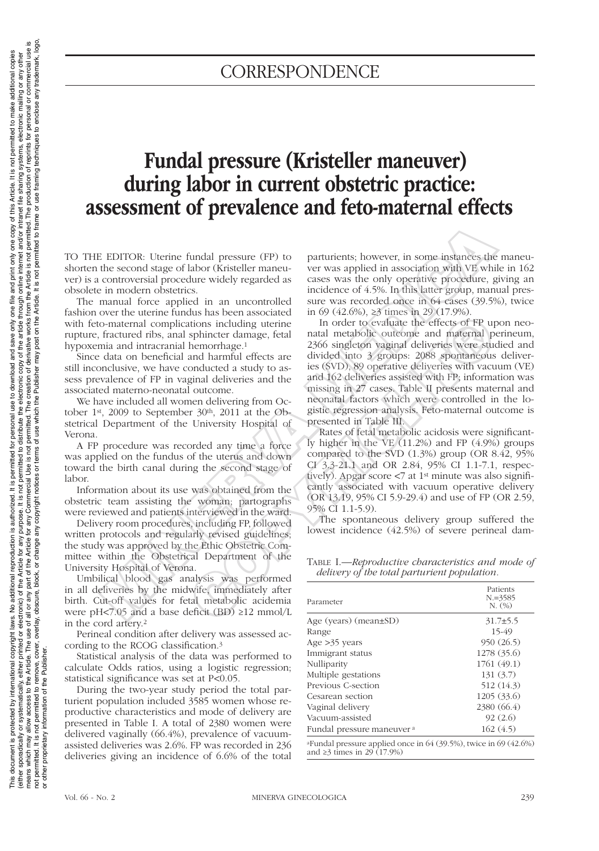# **CORRESPONDENCE**

# Fundal pressure (Kristeller maneuver) during labor in current obstetric practice: assessment of prevalence and feto-maternal effects

TO THE EDITOR: Uterine fundal pressure (FP) to shorten the second stage of labor (Kristeller maneuver) is a controversial procedure widely regarded as obsolete in modern obstetrics.

The manual force applied in an uncontrolled fashion over the uterine fundus has been associated with feto-maternal complications including uterine rupture, fractured ribs, anal sphincter damage, fetal hypoxemia and intracranial hemorrhage.1

Since data on beneficial and harmful effects are still inconclusive, we have conducted a study to assess prevalence of FP in vaginal deliveries and the associated materno-neonatal outcome.

We have included all women delivering from October 1st, 2009 to September 30th, 2011 at the Obstetrical Department of the University Hospital of Verona.

A FP procedure was recorded any time a force was applied on the fundus of the uterus and down toward the birth canal during the second stage of labor.

Information about its use was obtained from the obstetric team assisting the woman; partographs were reviewed and patients interviewed in the ward.

Delivery room procedures, including FP, followed written protocols and regularly revised guidelines; the study was approved by the Ethic Obstetric Committee within the Obstetrical Department of the University Hospital of Verona.

Umbilical blood gas analysis was performed in all deliveries by the midwife, immediately after birth. Cut-off values for fetal metabolic acidemia were pH<7.05 and a base deficit (BD)  $\geq$ 12 mmol/L in the cord artery.2

Perineal condition after delivery was assessed according to the RCOG classification.3

Statistical analysis of the data was performed to calculate Odds ratios, using a logistic regression; statistical significance was set at P<0.05.

During the two-year study period the total parturient population included 3585 women whose reproductive characteristics and mode of delivery are presented in Table I. A total of 2380 women were delivered vaginally (66.4%), prevalence of vacuumassisted deliveries was 2.6%. FP was recorded in 236 deliveries giving an incidence of 6.6% of the total parturients; however, in some instances the maneuver was applied in association with VE while in 162 cases was the only operative procedure, giving an incidence of 4.5%. In this latter group, manual pressure was recorded once in 64 cases (39.5%), twice in 69 (42.6%), ≥3 times in 29 (17.9%).

In order to evaluate the effects of FP upon neonatal metabolic outcome and maternal perineum, 2366 singleton vaginal deliveries were studied and divided into 3 groups: 2088 spontaneous deliveries (SVD), 89 operative deliveries with vacuum (VE) and 162 deliveries assisted with FP; information was missing in 27 cases. Table II presents maternal and neonatal factors which were controlled in the logistic regression analysis. Feto-maternal outcome is presented in Table III. EDITOR: Uterine fundal pressure (FP) to parturients; however, in some instances the second stage of labor (Kristleler manu-<br>
controversial procedure widely regarded as cases was applied in a<br>societient controversial proce and its bott associated in Tordony (2) diatom and material of the system and harmoninge.<br>
In order to evaluate the effects of FP up<br>
sphincter damage, fetal<br>
natal metabolic outcome and maternal p<br>
hemorrhage.<sup>1</sup> 2366 sin

Rates of fetal metabolic acidosis were significantly higher in the VE (11.2%) and FP (4.9%) groups compared to the SVD (1.3%) group (OR 8.42, 95% CI 3.3-21.1 and OR 2.84, 95% CI 1.1-7.1, respectively). Apgar score <7 at 1st minute was also significantly associated with vacuum operative delivery (OR 13.19, 95% CI 5.9-29.4) and use of FP (OR 2.59, 95% CI 1.1-5.9).

The spontaneous delivery group suffered the lowest incidence (42.5%) of severe perineal dam-

Table I.—*Reproductive characteristics and mode of delivery of the total parturient population.*

| Parameter                   | Patients<br>$N = 3585$<br>N. (%) |
|-----------------------------|----------------------------------|
| Age (years) (mean $\pm$ SD) | $31.7 \pm 5.5$                   |
| Range                       | 15-49                            |
| Age $>35$ years             | 950 (26.5)                       |
| Immigrant status            | 1278 (35.6)                      |
| Nulliparity                 | 1761 (49.1)                      |
| Multiple gestations         | 131(3.7)                         |
| Previous C-section          | 512 (14.3)                       |
| Cesarean section            | 1205(33.6)                       |
| Vaginal delivery            | 2380 (66.4)                      |
| Vacuum-assisted             | 92(2.6)                          |
| Fundal pressure maneuver a  | 162(4.5)                         |

aFundal pressure applied once in 64 (39.5%), twice in 69 (42.6%) and ≥3 times in 29 (17.9%)

or other proprietary information of the Publisher.

This document is protected by international reproductional reproductional securities the spermitted for personal use to download and save only one file and print only one copy of this Article. It is not permitted to make a (either systematically, or sectonic) of the Article for any purpose. It is not permitted to distribute the electronic copy of the article through online internet and/or intranet file sharing systems, electronic mailing or means which may allow access to the Article. The use of the Micle use any part of the Article for any Commercial Use is not contained The Micle is not permitted. The production of reprints for personal or commercial use is not permitted to remove, cover, overlay, obscure, block, or change any copyright notices or terms of use which the Publisher may post on the Article. It is not permitted to framing techniques to enclose any trademark, logo

This document is protected by international copyright laws. No additional reproduction is authorized. It is permitted for personal use to download and sawe only one file and print only one copy of this Article. It is not p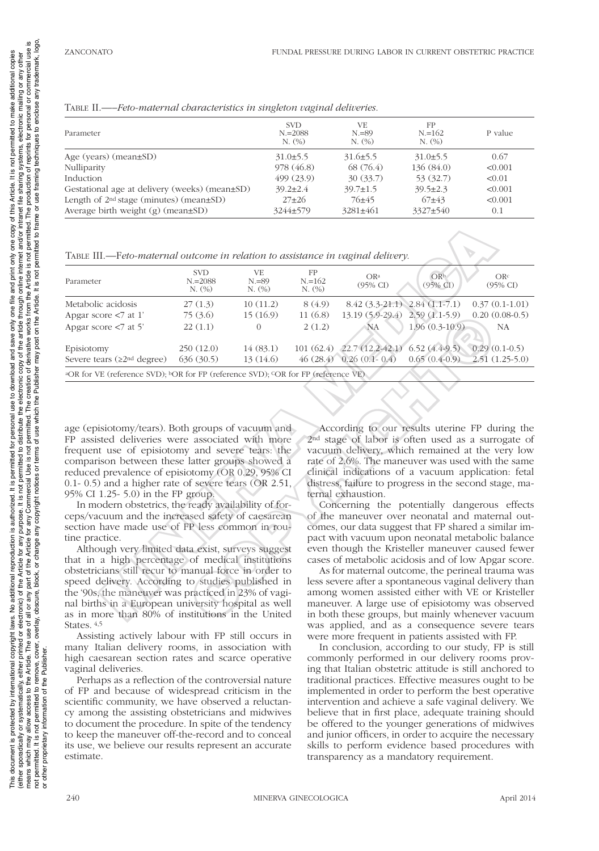Table II.—–*Feto-maternal characteristics in singleton vaginal deliveries.*

| Parameter                                           | <b>SVD</b><br>$N = 2088$<br>N. (%) | VE.<br>$N = 89$<br>N. (%) | FP<br>$N = 162$<br>N. (%) | P value |
|-----------------------------------------------------|------------------------------------|---------------------------|---------------------------|---------|
| Age (years) (mean $\pm$ SD)                         | $31.0\pm5.5$                       | $31.6 \pm 5.5$            | $31.0\pm5.5$              | 0.67    |
| Nulliparity                                         | 978 (46.8)                         | 68 (76.4)                 | 136(84.0)                 | < 0.001 |
| Induction                                           | 499(23.9)                          | 30(33.7)                  | 53 (32.7)                 | < 0.01  |
| Gestational age at delivery (weeks) (mean±SD)       | $39.2 \pm 2.4$                     | $39.7 \pm 1.5$            | $39.5 \pm 2.3$            | < 0.001 |
| Length of 2 <sup>nd</sup> stage (minutes) (mean±SD) | $27+26$                            | $76+45$                   | $67+43$                   | < 0.001 |
| Average birth weight $(g)$ (mean $\pm SD$ )         | 3244±579                           | $3281 \pm 461$            | 3327±540                  | 0.1     |

Table III.—F*eto-maternal outcome in relation to assistance in vaginal delivery.*

| TABLE III.—Feto-maternal outcome in relation to assistance in vaginal delivery.                                                                                                                                                                                                                                                                                                                                                                                                                                                                                                                                                                                                                                                                                                                                                                                                                                                                       |                                    |                          |                           |                                        |                             |                                                                                                                                                                                                                                                                                                                                                                                                                                                                                                                                                                                                                                                                                                                                                                                                                                                                                                                                               |
|-------------------------------------------------------------------------------------------------------------------------------------------------------------------------------------------------------------------------------------------------------------------------------------------------------------------------------------------------------------------------------------------------------------------------------------------------------------------------------------------------------------------------------------------------------------------------------------------------------------------------------------------------------------------------------------------------------------------------------------------------------------------------------------------------------------------------------------------------------------------------------------------------------------------------------------------------------|------------------------------------|--------------------------|---------------------------|----------------------------------------|-----------------------------|-----------------------------------------------------------------------------------------------------------------------------------------------------------------------------------------------------------------------------------------------------------------------------------------------------------------------------------------------------------------------------------------------------------------------------------------------------------------------------------------------------------------------------------------------------------------------------------------------------------------------------------------------------------------------------------------------------------------------------------------------------------------------------------------------------------------------------------------------------------------------------------------------------------------------------------------------|
| Parameter                                                                                                                                                                                                                                                                                                                                                                                                                                                                                                                                                                                                                                                                                                                                                                                                                                                                                                                                             | <b>SVD</b><br>$N = 2088$<br>N. (%) | VE<br>$N = 89$<br>N. (%) | FP<br>$N = 162$<br>N. (%) | OR <sup>a</sup><br>(95% CI)            | OR <sup>b</sup><br>(95% CI) | ORc<br>$(95\% \text{ CI})$                                                                                                                                                                                                                                                                                                                                                                                                                                                                                                                                                                                                                                                                                                                                                                                                                                                                                                                    |
| Metabolic acidosis                                                                                                                                                                                                                                                                                                                                                                                                                                                                                                                                                                                                                                                                                                                                                                                                                                                                                                                                    | 27(1.3)                            | 10(11.2)                 | 8(4.9)                    | $8.42$ $(3.3-21.1)$ $2.84$ $(1.1-7.1)$ |                             | $0.37(0.1-1.01)$                                                                                                                                                                                                                                                                                                                                                                                                                                                                                                                                                                                                                                                                                                                                                                                                                                                                                                                              |
| Apgar score <7 at 1'                                                                                                                                                                                                                                                                                                                                                                                                                                                                                                                                                                                                                                                                                                                                                                                                                                                                                                                                  | 75(3.6)                            | 15(16.9)                 | 11(6.8)                   | 13.19 (5.9-29.4)                       | $2.59(1.1-5.9)$             | $0.20(0.08-0.5)$                                                                                                                                                                                                                                                                                                                                                                                                                                                                                                                                                                                                                                                                                                                                                                                                                                                                                                                              |
| Apgar score $< 7$ at 5'                                                                                                                                                                                                                                                                                                                                                                                                                                                                                                                                                                                                                                                                                                                                                                                                                                                                                                                               | 22(1.1)                            | $\Omega$                 | 2(1.2)                    | <b>NA</b>                              | $1.96(0.3-10.9)$            | NA                                                                                                                                                                                                                                                                                                                                                                                                                                                                                                                                                                                                                                                                                                                                                                                                                                                                                                                                            |
| Episiotomy                                                                                                                                                                                                                                                                                                                                                                                                                                                                                                                                                                                                                                                                                                                                                                                                                                                                                                                                            | 250(12.0)                          | 14(83.1)                 |                           | 101 (62.4) 22.7 (12.2-42.1)            | $6.52(4.4-9.5)$             | $0.29(0.1-0.5)$                                                                                                                                                                                                                                                                                                                                                                                                                                                                                                                                                                                                                                                                                                                                                                                                                                                                                                                               |
| Severe tears (≥2 <sup>nd</sup> degree)                                                                                                                                                                                                                                                                                                                                                                                                                                                                                                                                                                                                                                                                                                                                                                                                                                                                                                                | 636(30.5)                          | 13(14.6)                 |                           | $46(28.4)$ 0.26 $(0.1 - 0.4)$          | $0.65(0.4-0.9)$             | $2.51(1.25-5.0)$                                                                                                                                                                                                                                                                                                                                                                                                                                                                                                                                                                                                                                                                                                                                                                                                                                                                                                                              |
| <sup>a</sup> OR for VE (reference SVD); <sup>b</sup> OR for FP (reference SVD); <sup>C</sup> OR for FP (reference VE)                                                                                                                                                                                                                                                                                                                                                                                                                                                                                                                                                                                                                                                                                                                                                                                                                                 |                                    |                          |                           |                                        |                             |                                                                                                                                                                                                                                                                                                                                                                                                                                                                                                                                                                                                                                                                                                                                                                                                                                                                                                                                               |
| age (episiotomy/tears). Both groups of vacuum and<br>FP assisted deliveries were associated with more<br>frequent use of episiotomy and severe tears: the<br>comparison between these latter groups showed a<br>reduced prevalence of episiotomy (OR 0.29, 95% CI<br>$(0.1 - 0.5)$ and a higher rate of severe tears $(OR 2.51,$<br>95% CI 1.25- 5.0) in the FP group.<br>In modern obstetrics, the ready availability of for-<br>ceps/vacuum and the increased safety of caesarean<br>section have made use of FP less common in rou-<br>tine practice.<br>Although very limited data exist, surveys suggest<br>that in a high percentage of medical institutions<br>obstetricians still recur to manual force in order to<br>speed delivery. According to studies published in<br>the '90s, the maneuver was practiced in 23% of vagi-<br>nal births in a European university hospital as well<br>as in more than 80% of institutions in the United |                                    |                          |                           | ternal exhaustion.                     |                             | According to our results uterine FP during the<br>2 <sup>nd</sup> stage of labor is often used as a surrogate of<br>vacuum delivery, which remained at the very low<br>rate of 2.6%. The maneuver was used with the same<br>clinical indications of a vacuum application: fetal<br>distress, failure to progress in the second stage, ma-<br>Concerning the potentially dangerous effects<br>of the maneuver over neonatal and maternal out-<br>comes, our data suggest that FP shared a similar im-<br>pact with vacuum upon neonatal metabolic balance<br>even though the Kristeller maneuver caused fewer<br>cases of metabolic acidosis and of low Apgar score.<br>As for maternal outcome, the perineal trauma was<br>less severe after a spontaneous vaginal delivery than<br>among women assisted either with VE or Kristeller<br>maneuver. A large use of episiotomy was observed<br>in both these groups, but mainly whenever vacuum |

Although very limited data exist, surveys suggest that in a high percentage of medical institutions obstetricians still recur to manual force in order to speed delivery. According to studies published in the '90s, the maneuver was practiced in 23% of vaginal births in a European university hospital as well as in more than 80% of institutions in the United States. 4,5

Assisting actively labour with FP still occurs in many Italian delivery rooms, in association with high caesarean section rates and scarce operative vaginal deliveries.

Perhaps as a reflection of the controversial nature of FP and because of widespread criticism in the scientific community, we have observed a reluctancy among the assisting obstetricians and midwives to document the procedure. In spite of the tendency to keep the maneuver off-the-record and to conceal its use, we believe our results represent an accurate estimate.

As for maternal outcome, the perineal trauma was less severe after a spontaneous vaginal delivery than among women assisted either with VE or Kristeller maneuver. A large use of episiotomy was observed in both these groups, but mainly whenever vacuum was applied, and as a consequence severe tears were more frequent in patients assisted with FP.

In conclusion, according to our study, FP is still commonly performed in our delivery rooms proving that Italian obstetric attitude is still anchored to traditional practices. Effective measures ought to be implemented in order to perform the best operative intervention and achieve a safe vaginal delivery. We believe that in first place, adequate training should be offered to the younger generations of midwives and junior officers, in order to acquire the necessary skills to perform evidence based procedures with transparency as a mandatory requirement.

 $\overline{5}$